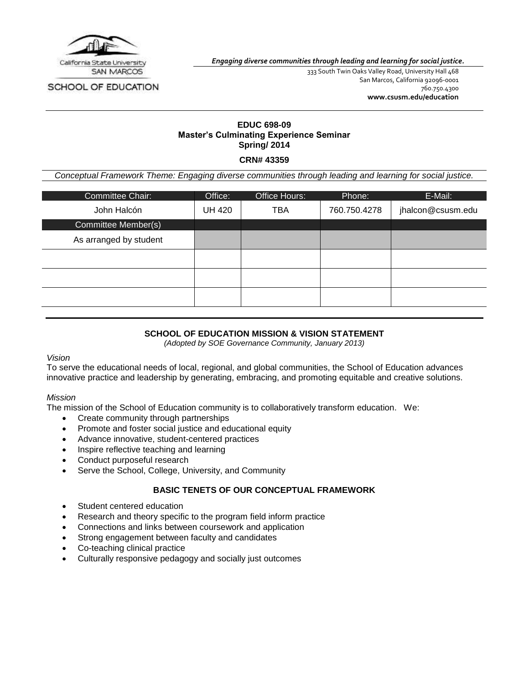

SCHOOL OF EDUCATION

*Engaging diverse communities through leading and learning for social justice.*

333 South Twin Oaks Valley Road, University Hall 468 San Marcos, California 92096-0001 760.750.4300 **[www.csusm.edu/education](http://www.csusm.edu/education)**

# **EDUC 698-09 Master's Culminating Experience Seminar Spring/ 2014**

**CRN# 43359**

*Conceptual Framework Theme: Engaging diverse communities through leading and learning for social justice.*

| Committee Chair:       | Office: | Office Hours: | Phone:       | E-Mail:           |
|------------------------|---------|---------------|--------------|-------------------|
| John Halcón            | UH 420  | <b>TBA</b>    | 760.750.4278 | jhalcon@csusm.edu |
| Committee Member(s)    |         |               |              |                   |
| As arranged by student |         |               |              |                   |
|                        |         |               |              |                   |
|                        |         |               |              |                   |
|                        |         |               |              |                   |

# **SCHOOL OF EDUCATION MISSION & VISION STATEMENT**

*(Adopted by SOE Governance Community, January 2013)*

*Vision*

To serve the educational needs of local, regional, and global communities, the School of Education advances innovative practice and leadership by generating, embracing, and promoting equitable and creative solutions.

#### *Mission*

The mission of the School of Education community is to collaboratively transform education. We:

- Create community through partnerships
- Promote and foster social justice and educational equity
- Advance innovative, student-centered practices
- Inspire reflective teaching and learning
- Conduct purposeful research
- Serve the School, College, University, and Community

### **BASIC TENETS OF OUR CONCEPTUAL FRAMEWORK**

- Student centered education
- Research and theory specific to the program field inform practice
- Connections and links between coursework and application
- Strong engagement between faculty and candidates
- Co-teaching clinical practice
- Culturally responsive pedagogy and socially just outcomes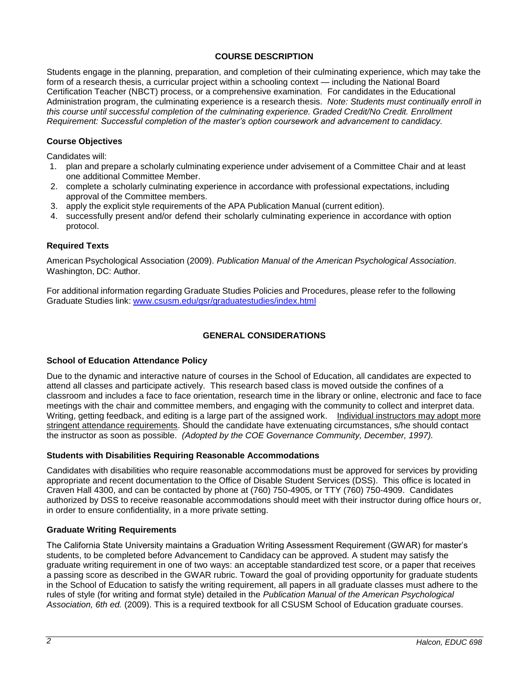# **COURSE DESCRIPTION**

Students engage in the planning, preparation, and completion of their culminating experience, which may take the form of a research thesis, a curricular project within a schooling context — including the National Board Certification Teacher (NBCT) process, or a comprehensive examination. For candidates in the Educational Administration program, the culminating experience is a research thesis. *Note: Students must continually enroll in this course until successful completion of the culminating experience. Graded Credit/No Credit. Enrollment Requirement: Successful completion of the master's option coursework and advancement to candidacy.*

# **Course Objectives**

Candidates will:

- 1. plan and prepare a scholarly culminating experience under advisement of a Committee Chair and at least one additional Committee Member.
- 2. complete a scholarly culminating experience in accordance with professional expectations, including approval of the Committee members.
- 3. apply the explicit style requirements of the APA Publication Manual (current edition).
- 4. successfully present and/or defend their scholarly culminating experience in accordance with option protocol.

# **Required Texts**

American Psychological Association (2009). *Publication Manual of the American Psychological Association*. Washington, DC: Author.

For additional information regarding Graduate Studies Policies and Procedures, please refer to the following Graduate Studies link: [www.csusm.edu/gsr/graduatestudies/index.html](http://www.csusm.edu/gsr/graduatestudies/index.html)

# **GENERAL CONSIDERATIONS**

# **School of Education Attendance Policy**

Due to the dynamic and interactive nature of courses in the School of Education, all candidates are expected to attend all classes and participate actively. This research based class is moved outside the confines of a classroom and includes a face to face orientation, research time in the library or online, electronic and face to face meetings with the chair and committee members, and engaging with the community to collect and interpret data. Writing, getting feedback, and editing is a large part of the assigned work. Individual instructors may adopt more stringent attendance requirements. Should the candidate have extenuating circumstances, s/he should contact the instructor as soon as possible. *(Adopted by the COE Governance Community, December, 1997).*

#### **Students with Disabilities Requiring Reasonable Accommodations**

Candidates with disabilities who require reasonable accommodations must be approved for services by providing appropriate and recent documentation to the Office of Disable Student Services (DSS). This office is located in Craven Hall 4300, and can be contacted by phone at (760) 750-4905, or TTY (760) 750-4909. Candidates authorized by DSS to receive reasonable accommodations should meet with their instructor during office hours or, in order to ensure confidentiality, in a more private setting.

# **Graduate Writing Requirements**

The California State University maintains a Graduation Writing Assessment Requirement (GWAR) for master's students, to be completed before Advancement to Candidacy can be approved. A student may satisfy the graduate writing requirement in one of two ways: an acceptable standardized test score, or a paper that receives a passing score as described in the GWAR rubric. Toward the goal of providing opportunity for graduate students in the School of Education to satisfy the writing requirement, all papers in all graduate classes must adhere to the rules of style (for writing and format style) detailed in the *Publication Manual of the American Psychological Association, 6th ed.* (2009). This is a required textbook for all CSUSM School of Education graduate courses.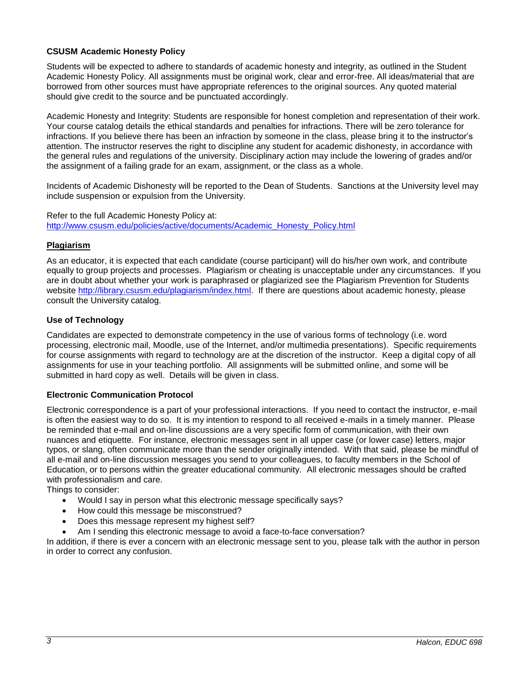## **CSUSM Academic Honesty Policy**

Students will be expected to adhere to standards of academic honesty and integrity, as outlined in the Student Academic Honesty Policy. All assignments must be original work, clear and error-free. All ideas/material that are borrowed from other sources must have appropriate references to the original sources. Any quoted material should give credit to the source and be punctuated accordingly.

Academic Honesty and Integrity: Students are responsible for honest completion and representation of their work. Your course catalog details the ethical standards and penalties for infractions. There will be zero tolerance for infractions. If you believe there has been an infraction by someone in the class, please bring it to the instructor's attention. The instructor reserves the right to discipline any student for academic dishonesty, in accordance with the general rules and regulations of the university. Disciplinary action may include the lowering of grades and/or the assignment of a failing grade for an exam, assignment, or the class as a whole.

Incidents of Academic Dishonesty will be reported to the Dean of Students. Sanctions at the University level may include suspension or expulsion from the University.

Refer to the full Academic Honesty Policy at: [http://www.csusm.edu/policies/active/documents/Academic\\_Honesty\\_Policy.html](http://www.csusm.edu/policies/active/documents/Academic_Honesty_Policy.html)

### **Plagiarism**

As an educator, it is expected that each candidate (course participant) will do his/her own work, and contribute equally to group projects and processes. Plagiarism or cheating is unacceptable under any circumstances. If you are in doubt about whether your work is paraphrased or plagiarized see the Plagiarism Prevention for Students website [http://library.csusm.edu/plagiarism/index.html.](http://library.csusm.edu/plagiarism/index.html) If there are questions about academic honesty, please consult the University catalog.

### **Use of Technology**

Candidates are expected to demonstrate competency in the use of various forms of technology (i.e. word processing, electronic mail, Moodle, use of the Internet, and/or multimedia presentations). Specific requirements for course assignments with regard to technology are at the discretion of the instructor. Keep a digital copy of all assignments for use in your teaching portfolio. All assignments will be submitted online, and some will be submitted in hard copy as well. Details will be given in class.

#### **Electronic Communication Protocol**

Electronic correspondence is a part of your professional interactions. If you need to contact the instructor, e-mail is often the easiest way to do so. It is my intention to respond to all received e-mails in a timely manner. Please be reminded that e-mail and on-line discussions are a very specific form of communication, with their own nuances and etiquette. For instance, electronic messages sent in all upper case (or lower case) letters, major typos, or slang, often communicate more than the sender originally intended. With that said, please be mindful of all e-mail and on-line discussion messages you send to your colleagues, to faculty members in the School of Education, or to persons within the greater educational community. All electronic messages should be crafted with professionalism and care.

Things to consider:

- Would I say in person what this electronic message specifically says?
- How could this message be misconstrued?
- Does this message represent my highest self?
- Am I sending this electronic message to avoid a face-to-face conversation?

In addition, if there is ever a concern with an electronic message sent to you, please talk with the author in person in order to correct any confusion.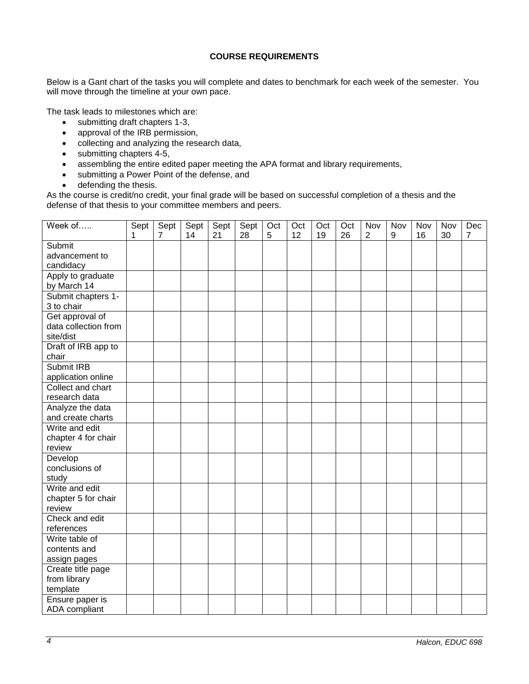# **COURSE REQUIREMENTS**

Below is a Gant chart of the tasks you will complete and dates to benchmark for each week of the semester. You will move through the timeline at your own pace.

The task leads to milestones which are:

- submitting draft chapters 1-3,
- approval of the IRB permission,
- collecting and analyzing the research data,
- submitting chapters 4-5,
- assembling the entire edited paper meeting the APA format and library requirements,
- submitting a Power Point of the defense, and
- defending the thesis.

As the course is credit/no credit, your final grade will be based on successful completion of a thesis and the defense of that thesis to your committee members and peers.

| Week of              | Sept | Sept           | Sept | Sept | Sept | Oct | Oct | Oct | Oct | Nov            | Nov | Nov | Nov | Dec            |
|----------------------|------|----------------|------|------|------|-----|-----|-----|-----|----------------|-----|-----|-----|----------------|
|                      | 1    | $\overline{7}$ | 14   | 21   | 28   | 5   | 12  | 19  | 26  | $\overline{2}$ | 9   | 16  | 30  | $\overline{7}$ |
| Submit               |      |                |      |      |      |     |     |     |     |                |     |     |     |                |
| advancement to       |      |                |      |      |      |     |     |     |     |                |     |     |     |                |
| candidacy            |      |                |      |      |      |     |     |     |     |                |     |     |     |                |
| Apply to graduate    |      |                |      |      |      |     |     |     |     |                |     |     |     |                |
| by March 14          |      |                |      |      |      |     |     |     |     |                |     |     |     |                |
| Submit chapters 1-   |      |                |      |      |      |     |     |     |     |                |     |     |     |                |
| 3 to chair           |      |                |      |      |      |     |     |     |     |                |     |     |     |                |
| Get approval of      |      |                |      |      |      |     |     |     |     |                |     |     |     |                |
| data collection from |      |                |      |      |      |     |     |     |     |                |     |     |     |                |
| site/dist            |      |                |      |      |      |     |     |     |     |                |     |     |     |                |
| Draft of IRB app to  |      |                |      |      |      |     |     |     |     |                |     |     |     |                |
| chair                |      |                |      |      |      |     |     |     |     |                |     |     |     |                |
| Submit IRB           |      |                |      |      |      |     |     |     |     |                |     |     |     |                |
| application online   |      |                |      |      |      |     |     |     |     |                |     |     |     |                |
| Collect and chart    |      |                |      |      |      |     |     |     |     |                |     |     |     |                |
| research data        |      |                |      |      |      |     |     |     |     |                |     |     |     |                |
| Analyze the data     |      |                |      |      |      |     |     |     |     |                |     |     |     |                |
| and create charts    |      |                |      |      |      |     |     |     |     |                |     |     |     |                |
| Write and edit       |      |                |      |      |      |     |     |     |     |                |     |     |     |                |
| chapter 4 for chair  |      |                |      |      |      |     |     |     |     |                |     |     |     |                |
| review               |      |                |      |      |      |     |     |     |     |                |     |     |     |                |
| Develop              |      |                |      |      |      |     |     |     |     |                |     |     |     |                |
| conclusions of       |      |                |      |      |      |     |     |     |     |                |     |     |     |                |
| study                |      |                |      |      |      |     |     |     |     |                |     |     |     |                |
| Write and edit       |      |                |      |      |      |     |     |     |     |                |     |     |     |                |
| chapter 5 for chair  |      |                |      |      |      |     |     |     |     |                |     |     |     |                |
| review               |      |                |      |      |      |     |     |     |     |                |     |     |     |                |
| Check and edit       |      |                |      |      |      |     |     |     |     |                |     |     |     |                |
| references           |      |                |      |      |      |     |     |     |     |                |     |     |     |                |
| Write table of       |      |                |      |      |      |     |     |     |     |                |     |     |     |                |
| contents and         |      |                |      |      |      |     |     |     |     |                |     |     |     |                |
| assign pages         |      |                |      |      |      |     |     |     |     |                |     |     |     |                |
| Create title page    |      |                |      |      |      |     |     |     |     |                |     |     |     |                |
| from library         |      |                |      |      |      |     |     |     |     |                |     |     |     |                |
| template             |      |                |      |      |      |     |     |     |     |                |     |     |     |                |
| Ensure paper is      |      |                |      |      |      |     |     |     |     |                |     |     |     |                |
| ADA compliant        |      |                |      |      |      |     |     |     |     |                |     |     |     |                |